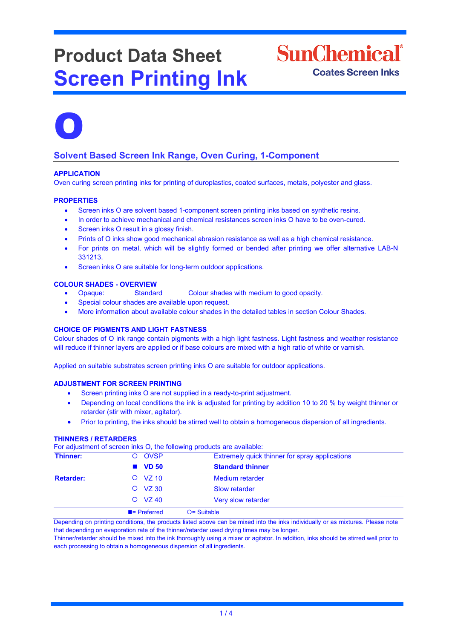# **Product Data Sheet Screen Printing Ink**





## **Solvent Based Screen Ink Range, Oven Curing, 1-Component**

## **APPLICATION**

Oven curing screen printing inks for printing of duroplastics, coated surfaces, metals, polyester and glass.

## **PROPERTIES**

- Screen inks O are solvent based 1-component screen printing inks based on synthetic resins.
- In order to achieve mechanical and chemical resistances screen inks O have to be oven-cured.
- Screen inks O result in a glossy finish.
- Prints of O inks show good mechanical abrasion resistance as well as a high chemical resistance.
- For prints on metal, which will be slightly formed or bended after printing we offer alternative LAB-N 331213.
- Screen inks O are suitable for long-term outdoor applications.

## **COLOUR SHADES - OVERVIEW**

- Opaque: Standard Colour shades with medium to good opacity.
- Special colour shades are available upon request.
- More information about available colour shades in the detailed tables in section Colour Shades.

## **CHOICE OF PIGMENTS AND LIGHT FASTNESS**

Colour shades of O ink range contain pigments with a high light fastness. Light fastness and weather resistance will reduce if thinner layers are applied or if base colours are mixed with a high ratio of white or varnish.

Applied on suitable substrates screen printing inks O are suitable for outdoor applications.

## **ADJUSTMENT FOR SCREEN PRINTING**

- Screen printing inks O are not supplied in a ready-to-print adjustment.
- Depending on local conditions the ink is adjusted for printing by addition 10 to 20 % by weight thinner or retarder (stir with mixer, agitator).
- Prior to printing, the inks should be stirred well to obtain a homogeneous dispersion of all ingredients.

#### **THINNERS / RETARDERS**

For adjustment of screen inks O, the following products are available:

| <u>. Or analogenización de adelación muy del mis remetinido herecente ano arquitecto.</u> |                          |                                                |  |  |
|-------------------------------------------------------------------------------------------|--------------------------|------------------------------------------------|--|--|
| Thinner:                                                                                  | O OVSP                   | Extremely quick thinner for spray applications |  |  |
|                                                                                           | $\blacksquare$ VD 50     | <b>Standard thinner</b>                        |  |  |
| <b>Retarder:</b>                                                                          | $O$ VZ 10                | <b>Medium retarder</b>                         |  |  |
|                                                                                           | $O$ VZ 30                | Slow retarder                                  |  |  |
|                                                                                           | $O$ VZ 40                | Very slow retarder                             |  |  |
|                                                                                           | $\blacksquare$ Preferred | $O =$ Suitable                                 |  |  |

Depending on printing conditions, the products listed above can be mixed into the inks individually or as mixtures. Please note that depending on evaporation rate of the thinner/retarder used drying times may be longer.

Thinner/retarder should be mixed into the ink thoroughly using a mixer or agitator. In addition, inks should be stirred well prior to each processing to obtain a homogeneous dispersion of all ingredients.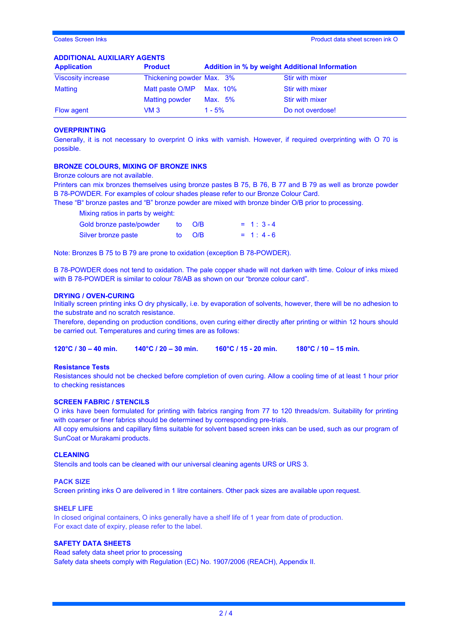## **ADDITIONAL AUXILIARY AGENTS**

| <b>Application</b>        | <b>Product</b>            | <b>Addition in % by weight Additional Information</b> |                        |
|---------------------------|---------------------------|-------------------------------------------------------|------------------------|
| <b>Viscosity increase</b> | Thickening powder Max. 3% |                                                       | <b>Stir with mixer</b> |
| Matting                   | Matt paste O/MP Max. 10%  |                                                       | <b>Stir with mixer</b> |
|                           | <b>Matting powder</b>     | Max. 5%                                               | Stir with mixer        |
| <b>Flow agent</b>         | VM 3                      | $1 - 5%$                                              | Do not overdose!       |

#### **OVERPRINTING**

Generally, it is not necessary to overprint O inks with varnish. However, if required overprinting with O 70 is possible.

#### **BRONZE COLOURS, MIXING OF BRONZE INKS**

Bronze colours are not available.

Printers can mix bronzes themselves using bronze pastes B 75, B 76, B 77 and B 79 as well as bronze powder B 78-POWDER. For examples of colour shades please refer to our Bronze Colour Card.

These "B" bronze pastes and "B" bronze powder are mixed with bronze binder O/B prior to processing.

Mixing ratios in parts by weight:

| Gold bronze paste/powder | to O/B | $= 1: 3-4$ |
|--------------------------|--------|------------|
| Silver bronze paste      | to O/B | $= 1: 4-6$ |

Note: Bronzes B 75 to B 79 are prone to oxidation (exception B 78-POWDER).

B 78-POWDER does not tend to oxidation. The pale copper shade will not darken with time. Colour of inks mixed with B 78-POWDER is similar to colour 78/AB as shown on our "bronze colour card".

## **DRYING / OVEN-CURING**

Initially screen printing inks O dry physically, i.e. by evaporation of solvents, however, there will be no adhesion to the substrate and no scratch resistance.

Therefore, depending on production conditions, oven curing either directly after printing or within 12 hours should be carried out. Temperatures and curing times are as follows:

**120°C / 30 – 40 min. 140°C / 20 – 30 min. 160°C / 15 - 20 min. 180°C / 10 – 15 min.**

#### **Resistance Tests**

Resistances should not be checked before completion of oven curing. Allow a cooling time of at least 1 hour prior to checking resistances

### **SCREEN FABRIC / STENCILS**

O inks have been formulated for printing with fabrics ranging from 77 to 120 threads/cm. Suitability for printing with coarser or finer fabrics should be determined by corresponding pre-trials.

All copy emulsions and capillary films suitable for solvent based screen inks can be used, such as our program of SunCoat or Murakami products.

## **CLEANING**

Stencils and tools can be cleaned with our universal cleaning agents URS or URS 3.

#### **PACK SIZE**

Screen printing inks O are delivered in 1 litre containers. Other pack sizes are available upon request.

#### **SHELF LIFE**

In closed original containers, O inks generally have a shelf life of 1 year from date of production. For exact date of expiry, please refer to the label.

## **SAFETY DATA SHEETS**

Read safety data sheet prior to processing Safety data sheets comply with Regulation (EC) No. 1907/2006 (REACH), Appendix II.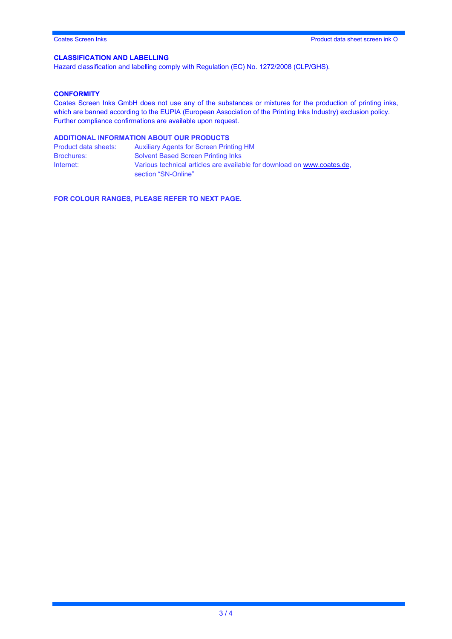## **CLASSIFICATION AND LABELLING**

Hazard classification and labelling comply with Regulation (EC) No. 1272/2008 (CLP/GHS).

## **CONFORMITY**

Coates Screen Inks GmbH does not use any of the substances or mixtures for the production of printing inks, which are banned according to the EUPIA (European Association of the Printing Inks Industry) exclusion policy. Further compliance confirmations are available upon request.

## **ADDITIONAL INFORMATION ABOUT OUR PRODUCTS**

| Product data sheets: | <b>Auxiliary Agents for Screen Printing HM</b>                          |
|----------------------|-------------------------------------------------------------------------|
| <b>Brochures:</b>    | <b>Solvent Based Screen Printing Inks</b>                               |
| Internet:            | Various technical articles are available for download on www.coates.de. |
|                      | section "SN-Online"                                                     |

**FOR COLOUR RANGES, PLEASE REFER TO NEXT PAGE.**